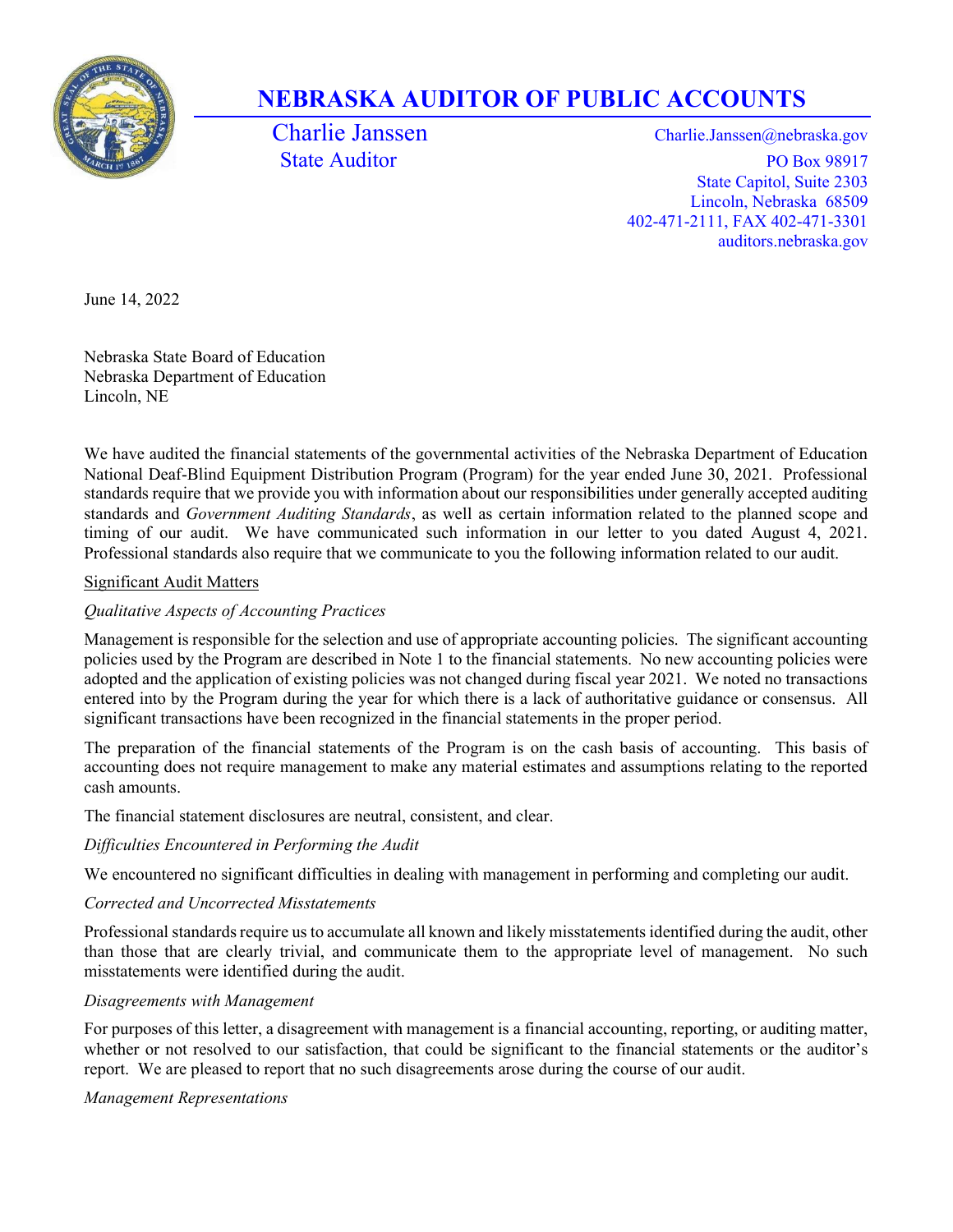

# NEBRASKA AUDITOR OF PUBLIC ACCOUNTS

Charlie Janssen Charlie.Janssen @nebraska.gov State Auditor PO Box 98917 State Capitol, Suite 2303 Lincoln, Nebraska 68509 402-471-2111, FAX 402-471-3301 auditors.nebraska.gov

June 14, 2022

Nebraska State Board of Education Nebraska Department of Education Lincoln, NE

We have audited the financial statements of the governmental activities of the Nebraska Department of Education National Deaf-Blind Equipment Distribution Program (Program) for the year ended June 30, 2021. Professional standards require that we provide you with information about our responsibilities under generally accepted auditing standards and Government Auditing Standards, as well as certain information related to the planned scope and timing of our audit. We have communicated such information in our letter to you dated August 4, 2021. Professional standards also require that we communicate to you the following information related to our audit.

# Significant Audit Matters

# Qualitative Aspects of Accounting Practices

Management is responsible for the selection and use of appropriate accounting policies. The significant accounting policies used by the Program are described in Note 1 to the financial statements. No new accounting policies were adopted and the application of existing policies was not changed during fiscal year 2021. We noted no transactions entered into by the Program during the year for which there is a lack of authoritative guidance or consensus. All significant transactions have been recognized in the financial statements in the proper period.

The preparation of the financial statements of the Program is on the cash basis of accounting. This basis of accounting does not require management to make any material estimates and assumptions relating to the reported cash amounts.

The financial statement disclosures are neutral, consistent, and clear.

## Difficulties Encountered in Performing the Audit

We encountered no significant difficulties in dealing with management in performing and completing our audit.

## Corrected and Uncorrected Misstatements

Professional standards require us to accumulate all known and likely misstatements identified during the audit, other than those that are clearly trivial, and communicate them to the appropriate level of management. No such misstatements were identified during the audit.

## Disagreements with Management

For purposes of this letter, a disagreement with management is a financial accounting, reporting, or auditing matter, whether or not resolved to our satisfaction, that could be significant to the financial statements or the auditor's report. We are pleased to report that no such disagreements arose during the course of our audit.

## Management Representations